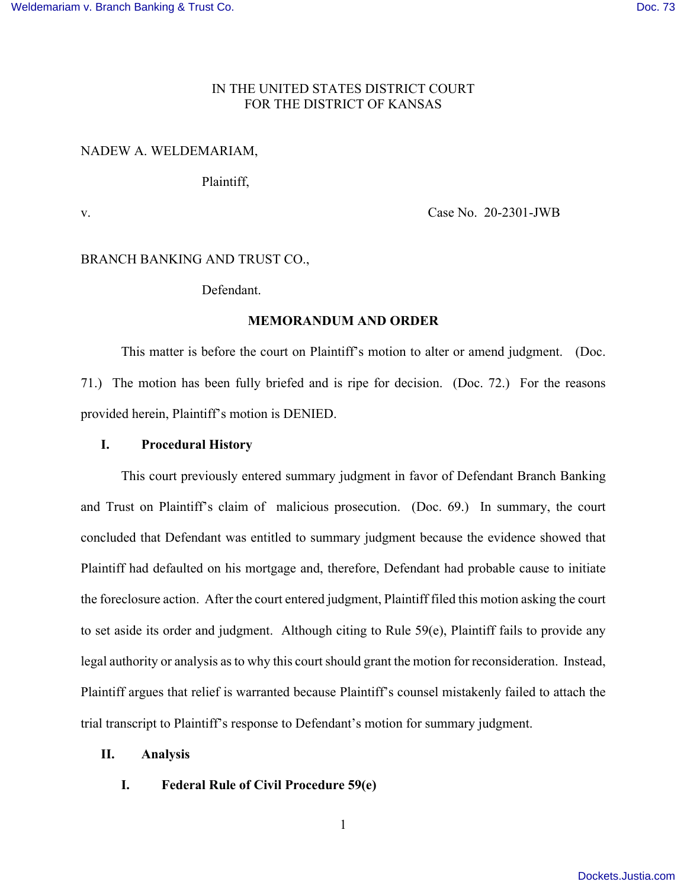## IN THE UNITED STATES DISTRICT COURT FOR THE DISTRICT OF KANSAS

# NADEW A. WELDEMARIAM,

# Plaintiff,

v. Case No. 20-2301-JWB

# BRANCH BANKING AND TRUST CO.,

## Defendant.

## **MEMORANDUM AND ORDER**

 This matter is before the court on Plaintiff's motion to alter or amend judgment. (Doc. 71.) The motion has been fully briefed and is ripe for decision. (Doc. 72.) For the reasons provided herein, Plaintiff's motion is DENIED.

### **I. Procedural History**

This court previously entered summary judgment in favor of Defendant Branch Banking and Trust on Plaintiff's claim of malicious prosecution. (Doc. 69.) In summary, the court concluded that Defendant was entitled to summary judgment because the evidence showed that Plaintiff had defaulted on his mortgage and, therefore, Defendant had probable cause to initiate the foreclosure action. After the court entered judgment, Plaintiff filed this motion asking the court to set aside its order and judgment. Although citing to Rule 59(e), Plaintiff fails to provide any legal authority or analysis as to why this court should grant the motion for reconsideration. Instead, Plaintiff argues that relief is warranted because Plaintiff's counsel mistakenly failed to attach the trial transcript to Plaintiff's response to Defendant's motion for summary judgment.

## **II. Analysis**

## **I. Federal Rule of Civil Procedure 59(e)**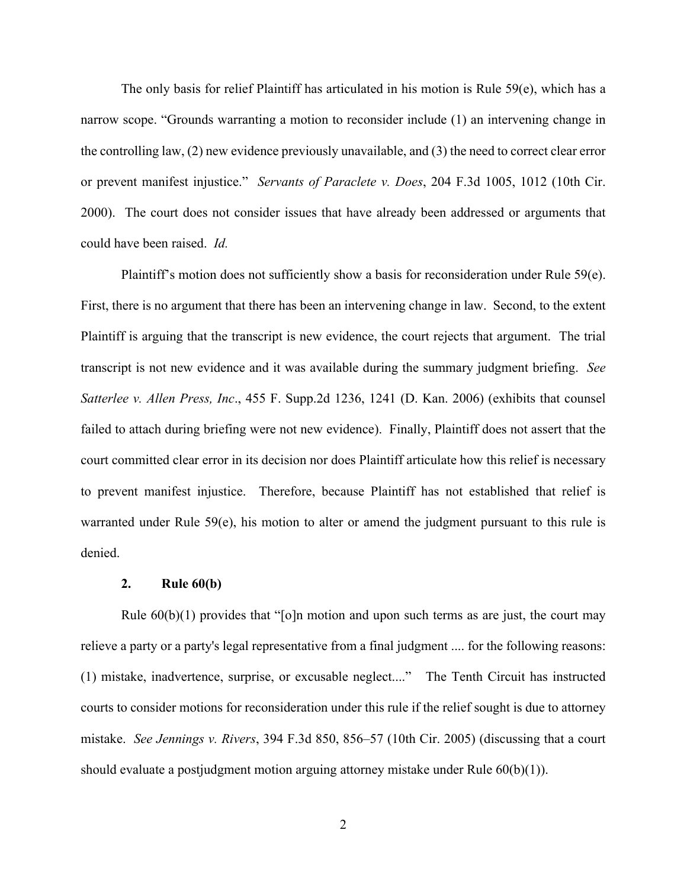The only basis for relief Plaintiff has articulated in his motion is Rule  $59(e)$ , which has a narrow scope. "Grounds warranting a motion to reconsider include (1) an intervening change in the controlling law, (2) new evidence previously unavailable, and (3) the need to correct clear error or prevent manifest injustice." *Servants of Paraclete v. Does*, 204 F.3d 1005, 1012 (10th Cir. 2000). The court does not consider issues that have already been addressed or arguments that could have been raised. *Id.*

 Plaintiff's motion does not sufficiently show a basis for reconsideration under Rule 59(e). First, there is no argument that there has been an intervening change in law. Second, to the extent Plaintiff is arguing that the transcript is new evidence, the court rejects that argument. The trial transcript is not new evidence and it was available during the summary judgment briefing. *See Satterlee v. Allen Press, Inc*., 455 F. Supp.2d 1236, 1241 (D. Kan. 2006) (exhibits that counsel failed to attach during briefing were not new evidence). Finally, Plaintiff does not assert that the court committed clear error in its decision nor does Plaintiff articulate how this relief is necessary to prevent manifest injustice. Therefore, because Plaintiff has not established that relief is warranted under Rule 59(e), his motion to alter or amend the judgment pursuant to this rule is denied.

#### **2. Rule 60(b)**

Rule  $60(b)(1)$  provides that "[o]n motion and upon such terms as are just, the court may relieve a party or a party's legal representative from a final judgment .... for the following reasons: (1) mistake, inadvertence, surprise, or excusable neglect...." The Tenth Circuit has instructed courts to consider motions for reconsideration under this rule if the relief sought is due to attorney mistake. *See Jennings v. Rivers*, 394 F.3d 850, 856–57 (10th Cir. 2005) (discussing that a court should evaluate a postjudgment motion arguing attorney mistake under Rule  $60(b)(1)$ ).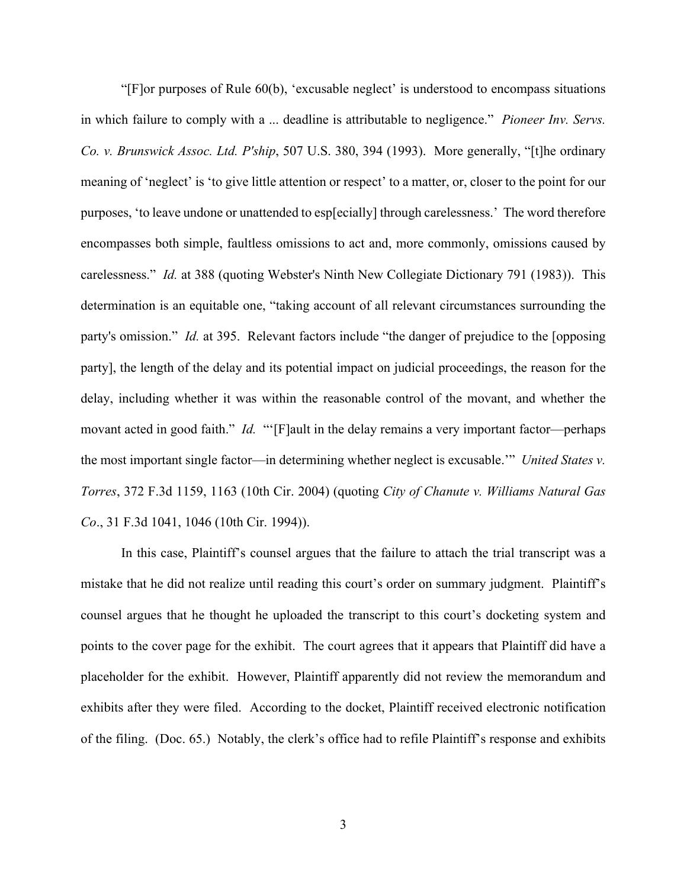"[F]or purposes of Rule 60(b), 'excusable neglect' is understood to encompass situations in which failure to comply with a ... deadline is attributable to negligence." *Pioneer Inv. Servs. Co. v. Brunswick Assoc. Ltd. P'ship*, 507 U.S. 380, 394 (1993). More generally, "[t]he ordinary meaning of 'neglect' is 'to give little attention or respect' to a matter, or, closer to the point for our purposes, 'to leave undone or unattended to esp[ecially] through carelessness.' The word therefore encompasses both simple, faultless omissions to act and, more commonly, omissions caused by carelessness." *Id.* at 388 (quoting Webster's Ninth New Collegiate Dictionary 791 (1983)). This determination is an equitable one, "taking account of all relevant circumstances surrounding the party's omission." *Id.* at 395. Relevant factors include "the danger of prejudice to the [opposing party], the length of the delay and its potential impact on judicial proceedings, the reason for the delay, including whether it was within the reasonable control of the movant, and whether the movant acted in good faith." *Id.* "'[F]ault in the delay remains a very important factor—perhaps the most important single factor—in determining whether neglect is excusable.'" *United States v. Torres*, 372 F.3d 1159, 1163 (10th Cir. 2004) (quoting *City of Chanute v. Williams Natural Gas Co*., 31 F.3d 1041, 1046 (10th Cir. 1994)).

 In this case, Plaintiff's counsel argues that the failure to attach the trial transcript was a mistake that he did not realize until reading this court's order on summary judgment. Plaintiff's counsel argues that he thought he uploaded the transcript to this court's docketing system and points to the cover page for the exhibit. The court agrees that it appears that Plaintiff did have a placeholder for the exhibit. However, Plaintiff apparently did not review the memorandum and exhibits after they were filed. According to the docket, Plaintiff received electronic notification of the filing. (Doc. 65.) Notably, the clerk's office had to refile Plaintiff's response and exhibits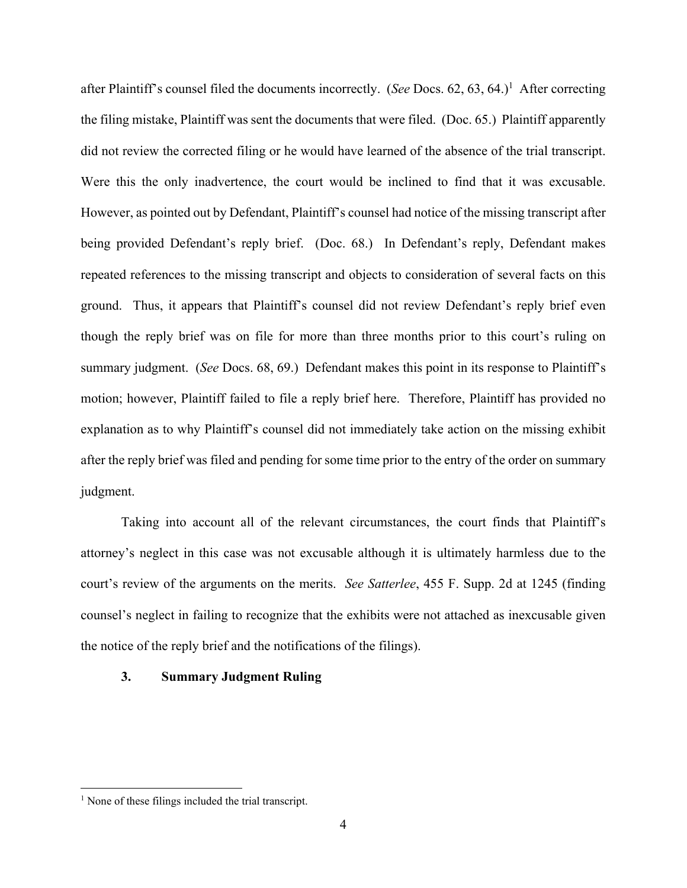after Plaintiff's counsel filed the documents incorrectly. (See Docs. 62, 63, 64.)<sup>1</sup> After correcting the filing mistake, Plaintiff was sent the documents that were filed. (Doc. 65.) Plaintiff apparently did not review the corrected filing or he would have learned of the absence of the trial transcript. Were this the only inadvertence, the court would be inclined to find that it was excusable. However, as pointed out by Defendant, Plaintiff's counsel had notice of the missing transcript after being provided Defendant's reply brief. (Doc. 68.) In Defendant's reply, Defendant makes repeated references to the missing transcript and objects to consideration of several facts on this ground. Thus, it appears that Plaintiff's counsel did not review Defendant's reply brief even though the reply brief was on file for more than three months prior to this court's ruling on summary judgment. (*See* Docs. 68, 69.) Defendant makes this point in its response to Plaintiff's motion; however, Plaintiff failed to file a reply brief here. Therefore, Plaintiff has provided no explanation as to why Plaintiff's counsel did not immediately take action on the missing exhibit after the reply brief was filed and pending for some time prior to the entry of the order on summary judgment.

 Taking into account all of the relevant circumstances, the court finds that Plaintiff's attorney's neglect in this case was not excusable although it is ultimately harmless due to the court's review of the arguments on the merits. *See Satterlee*, 455 F. Supp. 2d at 1245 (finding counsel's neglect in failing to recognize that the exhibits were not attached as inexcusable given the notice of the reply brief and the notifications of the filings).

## **3. Summary Judgment Ruling**

<sup>&</sup>lt;sup>1</sup> None of these filings included the trial transcript.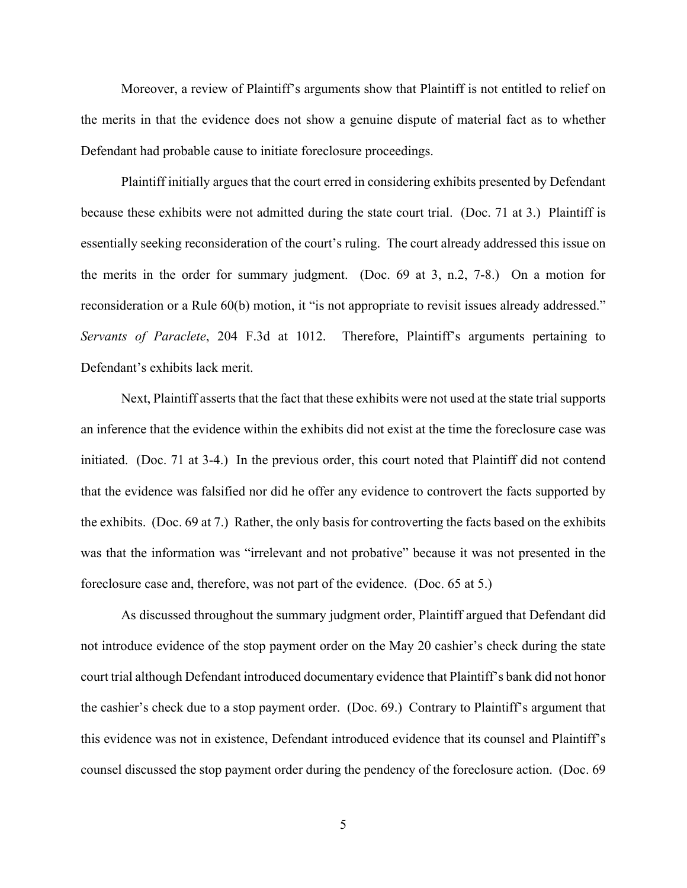Moreover, a review of Plaintiff's arguments show that Plaintiff is not entitled to relief on the merits in that the evidence does not show a genuine dispute of material fact as to whether Defendant had probable cause to initiate foreclosure proceedings.

 Plaintiff initially argues that the court erred in considering exhibits presented by Defendant because these exhibits were not admitted during the state court trial. (Doc. 71 at 3.) Plaintiff is essentially seeking reconsideration of the court's ruling. The court already addressed this issue on the merits in the order for summary judgment. (Doc. 69 at 3, n.2, 7-8.) On a motion for reconsideration or a Rule 60(b) motion, it "is not appropriate to revisit issues already addressed." *Servants of Paraclete*, 204 F.3d at 1012. Therefore, Plaintiff's arguments pertaining to Defendant's exhibits lack merit.

 Next, Plaintiff asserts that the fact that these exhibits were not used at the state trial supports an inference that the evidence within the exhibits did not exist at the time the foreclosure case was initiated. (Doc. 71 at 3-4.) In the previous order, this court noted that Plaintiff did not contend that the evidence was falsified nor did he offer any evidence to controvert the facts supported by the exhibits. (Doc. 69 at 7.) Rather, the only basis for controverting the facts based on the exhibits was that the information was "irrelevant and not probative" because it was not presented in the foreclosure case and, therefore, was not part of the evidence. (Doc. 65 at 5.)

 As discussed throughout the summary judgment order, Plaintiff argued that Defendant did not introduce evidence of the stop payment order on the May 20 cashier's check during the state court trial although Defendant introduced documentary evidence that Plaintiff's bank did not honor the cashier's check due to a stop payment order. (Doc. 69.) Contrary to Plaintiff's argument that this evidence was not in existence, Defendant introduced evidence that its counsel and Plaintiff's counsel discussed the stop payment order during the pendency of the foreclosure action. (Doc. 69